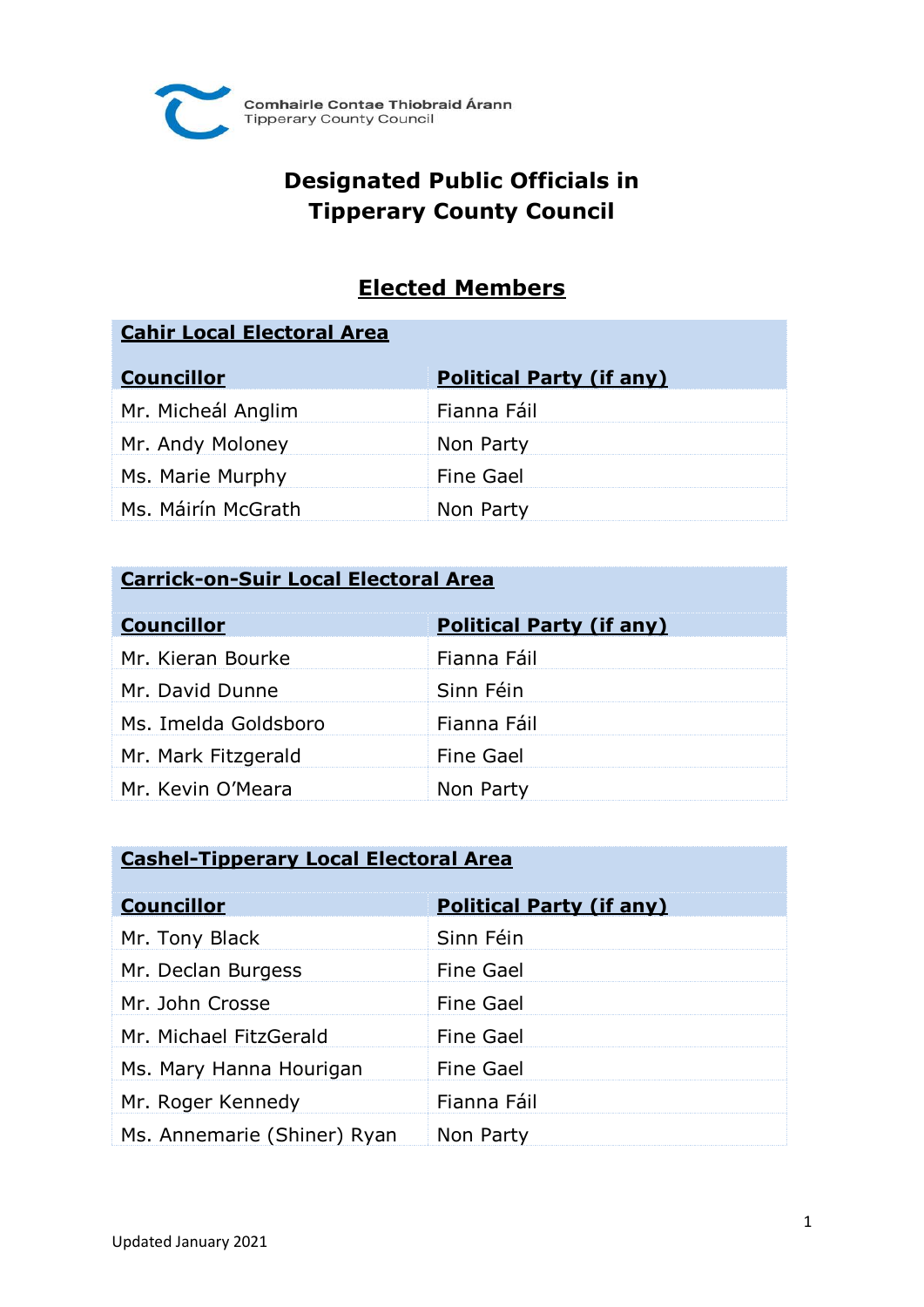

# **Designated Public Officials in Tipperary County Council**

## **Elected Members**

#### **Cahir Local Electoral Area**

| <b>Councillor</b>  | <b>Political Party (if any)</b> |
|--------------------|---------------------------------|
| Mr. Micheál Anglim | Fianna Fáil                     |
| Mr. Andy Moloney   | Non Party                       |
| Ms. Marie Murphy   | <b>Fine Gael</b>                |
| Ms. Máirín McGrath | Non Party                       |

#### **Carrick-on-Suir Local Electoral Area**

| <b>Councillor</b>    | <b>Political Party (if any)</b> |
|----------------------|---------------------------------|
| Mr. Kieran Bourke    | Fianna Fáil                     |
| Mr. David Dunne      | Sinn Féin                       |
| Ms. Imelda Goldsboro | Fianna Fáil                     |
| Mr. Mark Fitzgerald  | <b>Fine Gael</b>                |
| Mr. Kevin O'Meara    | Non Party                       |

#### **Cashel-Tipperary Local Electoral Area**

| <b>Councillor</b>           | <b>Political Party (if any)</b> |
|-----------------------------|---------------------------------|
| Mr. Tony Black              | Sinn Féin                       |
| Mr. Declan Burgess          | Fine Gael                       |
| Mr. John Crosse             | Fine Gael                       |
| Mr. Michael FitzGerald      | Fine Gael                       |
| Ms. Mary Hanna Hourigan     | <b>Fine Gael</b>                |
| Mr. Roger Kennedy           | Fianna Fáil                     |
| Ms. Annemarie (Shiner) Ryan | Non Party                       |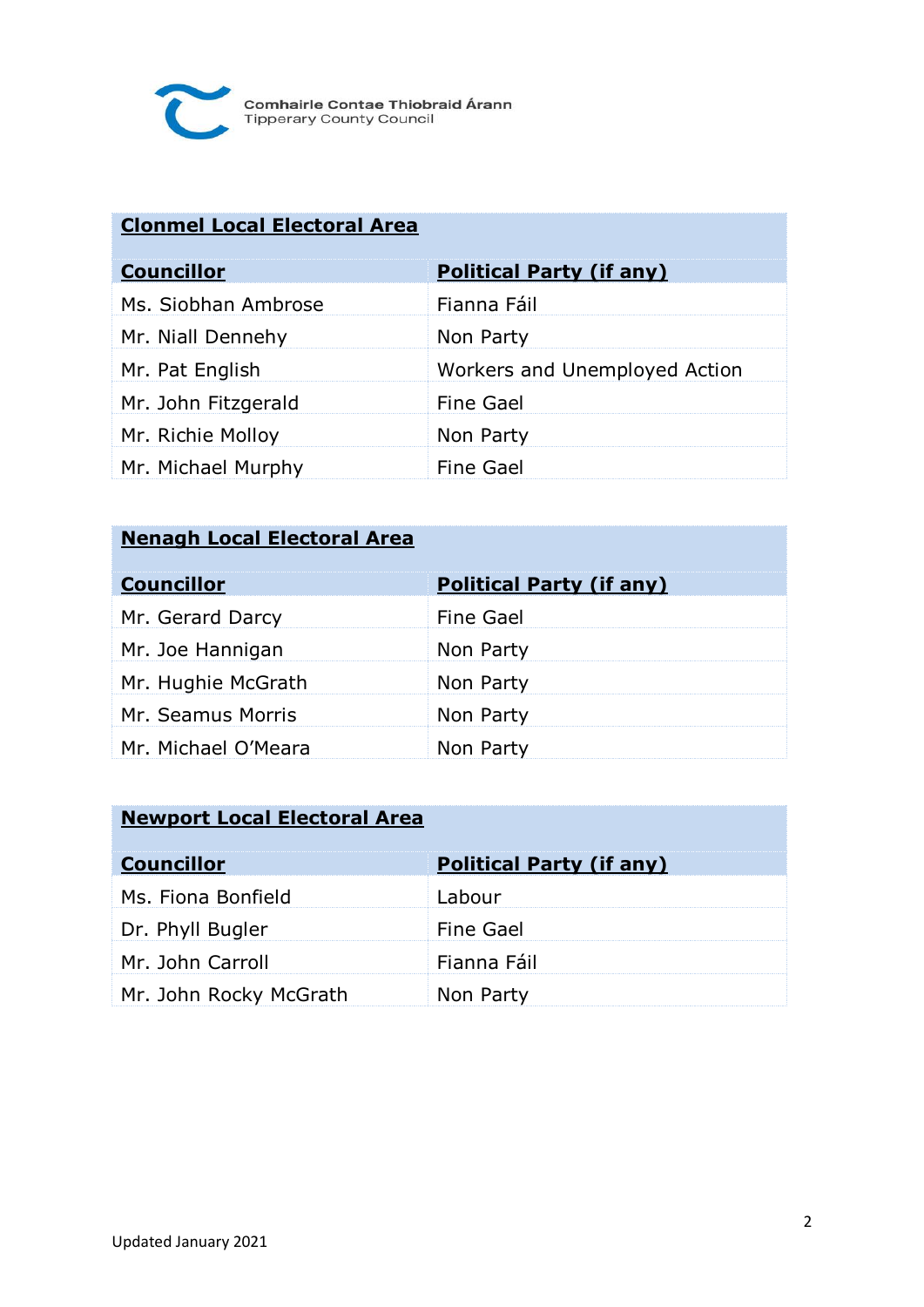

### **Clonmel Local Electoral Area**

| <b>Councillor</b>   | <b>Political Party (if any)</b> |
|---------------------|---------------------------------|
| Ms. Siobhan Ambrose | Fianna Fáil                     |
| Mr. Niall Dennehy   | Non Party                       |
| Mr. Pat English     | Workers and Unemployed Action   |
| Mr. John Fitzgerald | Fine Gael                       |
| Mr. Richie Molloy   | Non Party                       |
| Mr. Michael Murphy  | Fine Gael                       |

#### **Nenagh Local Electoral Area**

| <b>Councillor</b>   | <b>Political Party (if any)</b> |
|---------------------|---------------------------------|
| Mr. Gerard Darcy    | Fine Gael                       |
| Mr. Joe Hannigan    | Non Party                       |
| Mr. Hughie McGrath  | Non Party                       |
| Mr. Seamus Morris   | Non Party                       |
| Mr. Michael O'Meara | Non Party                       |

### **Newport Local Electoral Area**

| <b>Councillor</b>      | <b>Political Party (if any)</b> |
|------------------------|---------------------------------|
| Ms. Fiona Bonfield     | Labour                          |
| Dr. Phyll Bugler       | <b>Fine Gael</b>                |
| Mr. John Carroll       | Fianna Fáil                     |
| Mr. John Rocky McGrath | Non Party                       |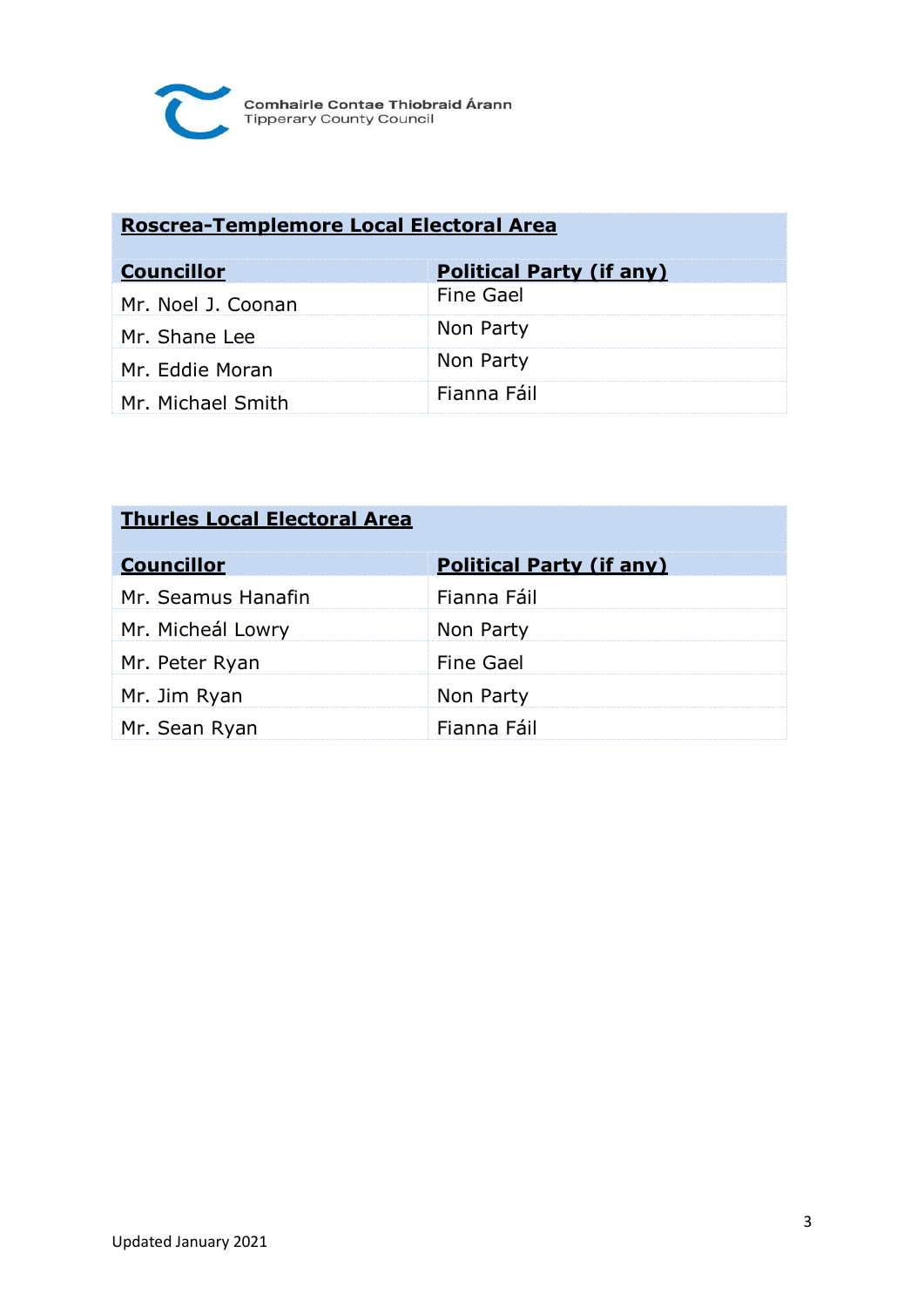

### **Roscrea-Templemore Local Electoral Area**

| <b>Councillor</b>  | <b>Political Party (if any)</b> |
|--------------------|---------------------------------|
| Mr. Noel J. Coonan | <b>Fine Gael</b>                |
| Mr. Shane Lee      | Non Party                       |
| Mr. Eddie Moran    | Non Party                       |
| Mr. Michael Smith  | Fianna Fáil                     |

| <b>Thurles Local Electoral Area</b> |                                 |
|-------------------------------------|---------------------------------|
| <b>Councillor</b>                   | <b>Political Party (if any)</b> |
| Mr. Seamus Hanafin                  | Fianna Fáil                     |
| Mr. Micheál Lowry                   | Non Party                       |
| Mr. Peter Ryan                      | Fine Gael                       |
| Mr. Jim Ryan                        | Non Party                       |
| Mr. Sean Ryan                       | Fianna Fáil                     |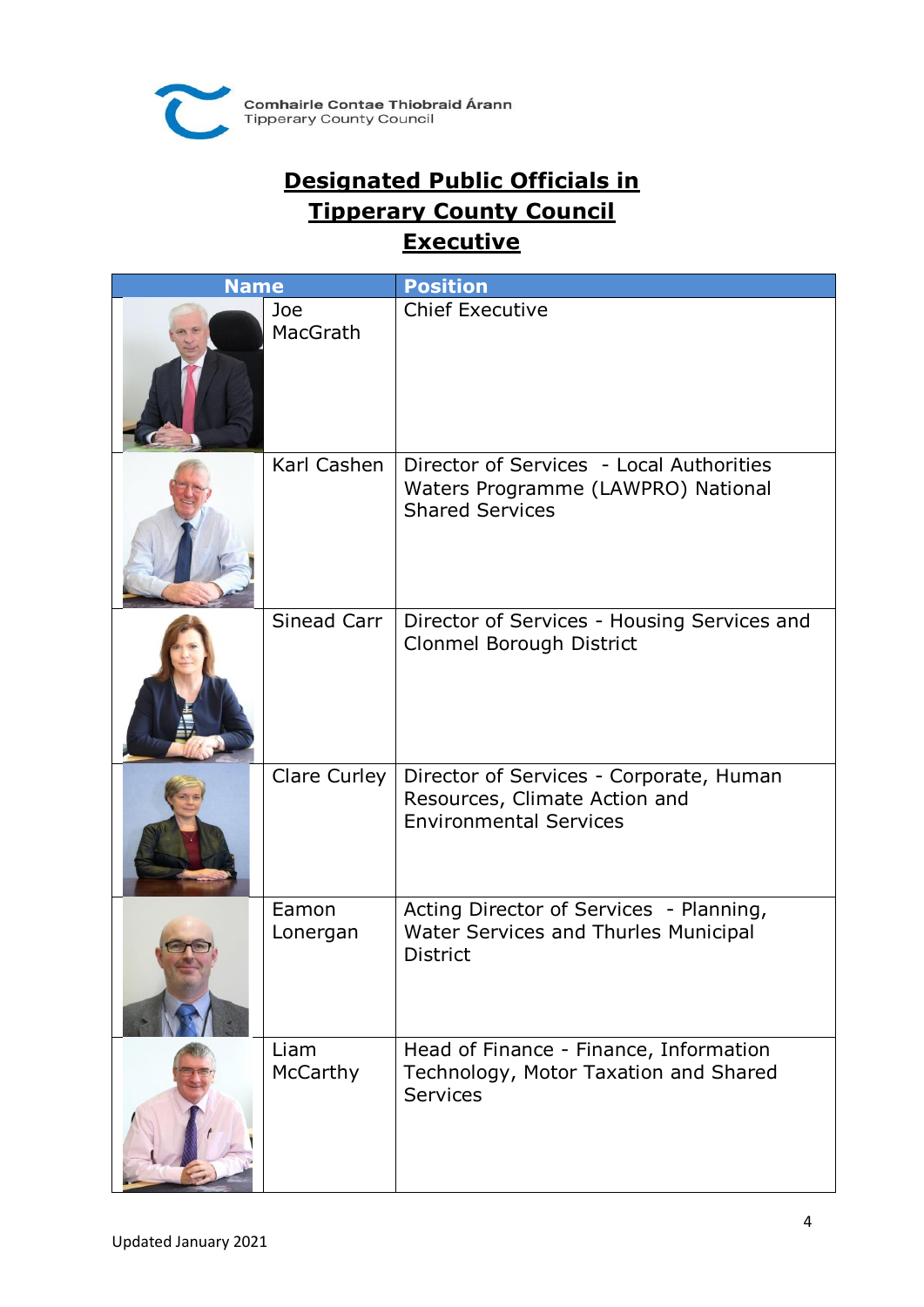

# **Designated Public Officials in Tipperary County Council Executive**

| <b>Name</b> |                   | <b>Position</b>                                                                                           |
|-------------|-------------------|-----------------------------------------------------------------------------------------------------------|
|             | Joe<br>MacGrath   | <b>Chief Executive</b>                                                                                    |
|             | Karl Cashen       | Director of Services - Local Authorities<br>Waters Programme (LAWPRO) National<br><b>Shared Services</b>  |
|             | Sinead Carr       | Director of Services - Housing Services and<br>Clonmel Borough District                                   |
|             | Clare Curley      | Director of Services - Corporate, Human<br>Resources, Climate Action and<br><b>Environmental Services</b> |
|             | Eamon<br>Lonergan | Acting Director of Services - Planning,<br>Water Services and Thurles Municipal<br><b>District</b>        |
|             | Liam<br>McCarthy  | Head of Finance - Finance, Information<br>Technology, Motor Taxation and Shared<br>Services               |